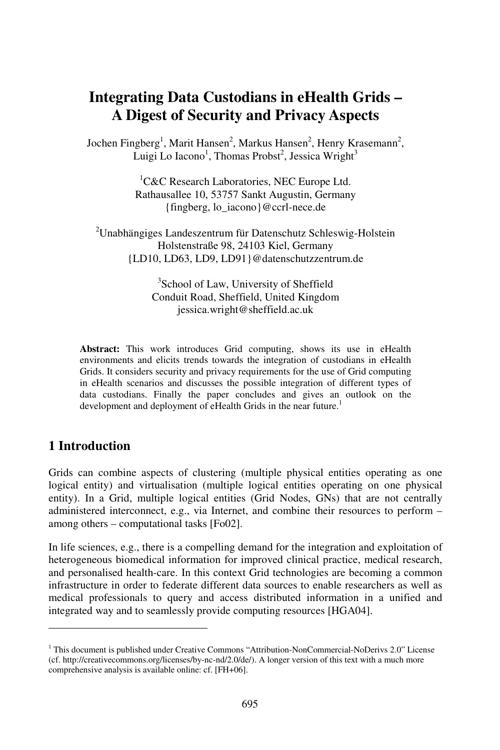# **Integrating Data Custodians in eHealth Grids – A Digest of Security and Privacy Aspects**

Jochen Fingberg<sup>1</sup>, Marit Hansen<sup>2</sup>, Markus Hansen<sup>2</sup>, Henry Krasemann<sup>2</sup>, Luigi Lo Iacono<sup>1</sup>, Thomas Probst<sup>2</sup>, Jessica Wright<sup>3</sup>

> ${}^{1}$ C&C Research Laboratories, NEC Europe Ltd. Rathausallee 10, 53757 Sankt Augustin, Germany {fingberg, lo\_iacono}@ccrl-nece.de

<sup>2</sup>Unabhängiges Landeszentrum für Datenschutz Schleswig-Holstein Holstenstraße 98, 24103 Kiel, Germany {LD10, LD63, LD9, LD91}@datenschutzzentrum.de

> 3 School of Law, University of Sheffield Conduit Road, Sheffield, United Kingdom jessica.wright@sheffield.ac.uk

**Abstract:** This work introduces Grid computing, shows its use in eHealth environments and elicits trends towards the integration of custodians in eHealth Grids. It considers security and privacy requirements for the use of Grid computing in eHealth scenarios and discusses the possible integration of different types of data custodians. Finally the paper concludes and gives an outlook on the development and deployment of eHealth Grids in the near future.<sup>1</sup>

### **1 Introduction**

Grids can combine aspects of clustering (multiple physical entities operating as one logical entity) and virtualisation (multiple logical entities operating on one physical entity). In a Grid, multiple logical entities (Grid Nodes, GNs) that are not centrally administered interconnect, e.g., via Internet, and combine their resources to perform – among others – computational tasks [Fo02].

In life sciences, e.g., there is a compelling demand for the integration and exploitation of heterogeneous biomedical information for improved clinical practice, medical research, and personalised health-care. In this context Grid technologies are becoming a common infrastructure in order to federate different data sources to enable researchers as well as medical professionals to query and access distributed information in a unified and integrated way and to seamlessly provide computing resources [HGA04].

<sup>&</sup>lt;sup>1</sup> This document is published under Creative Commons "Attribution-NonCommercial-NoDerivs 2.0" License (cf. http://creativecommons.org/licenses/by-nc-nd/2.0/de/). A longer version of this text with a much more comprehensive analysis is available online: cf. [FH+06].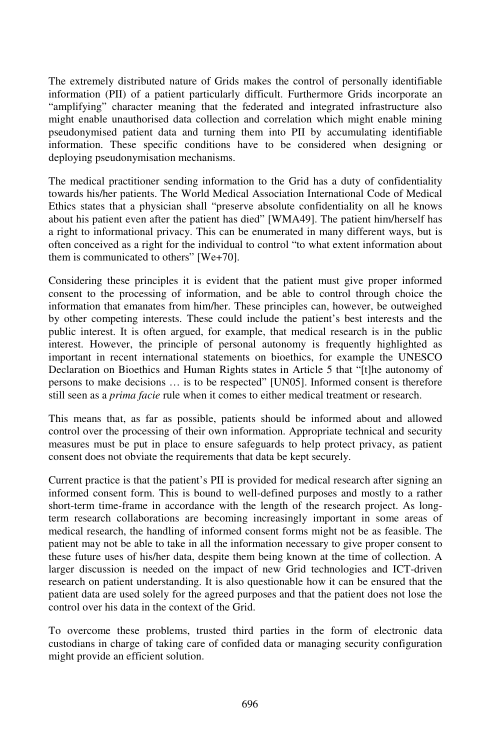The extremely distributed nature of Grids makes the control of personally identifiable information (PII) of a patient particularly difficult. Furthermore Grids incorporate an "amplifying" character meaning that the federated and integrated infrastructure also might enable unauthorised data collection and correlation which might enable mining pseudonymised patient data and turning them into PII by accumulating identifiable information. These specific conditions have to be considered when designing or deploying pseudonymisation mechanisms.

The medical practitioner sending information to the Grid has a duty of confidentiality towards his/her patients. The World Medical Association International Code of Medical Ethics states that a physician shall "preserve absolute confidentiality on all he knows about his patient even after the patient has died" [WMA49]. The patient him/herself has a right to informational privacy. This can be enumerated in many different ways, but is often conceived as a right for the individual to control "to what extent information about them is communicated to others" [We+70].

Considering these principles it is evident that the patient must give proper informed consent to the processing of information, and be able to control through choice the information that emanates from him/her. These principles can, however, be outweighed by other competing interests. These could include the patient's best interests and the public interest. It is often argued, for example, that medical research is in the public interest. However, the principle of personal autonomy is frequently highlighted as important in recent international statements on bioethics, for example the UNESCO Declaration on Bioethics and Human Rights states in Article 5 that "[t]he autonomy of persons to make decisions … is to be respected" [UN05]. Informed consent is therefore still seen as a *prima facie* rule when it comes to either medical treatment or research.

This means that, as far as possible, patients should be informed about and allowed control over the processing of their own information. Appropriate technical and security measures must be put in place to ensure safeguards to help protect privacy, as patient consent does not obviate the requirements that data be kept securely.

Current practice is that the patient's PII is provided for medical research after signing an informed consent form. This is bound to well-defined purposes and mostly to a rather short-term time-frame in accordance with the length of the research project. As longterm research collaborations are becoming increasingly important in some areas of medical research, the handling of informed consent forms might not be as feasible. The patient may not be able to take in all the information necessary to give proper consent to these future uses of his/her data, despite them being known at the time of collection. A larger discussion is needed on the impact of new Grid technologies and ICT-driven research on patient understanding. It is also questionable how it can be ensured that the patient data are used solely for the agreed purposes and that the patient does not lose the control over his data in the context of the Grid.

To overcome these problems, trusted third parties in the form of electronic data custodians in charge of taking care of confided data or managing security configuration might provide an efficient solution.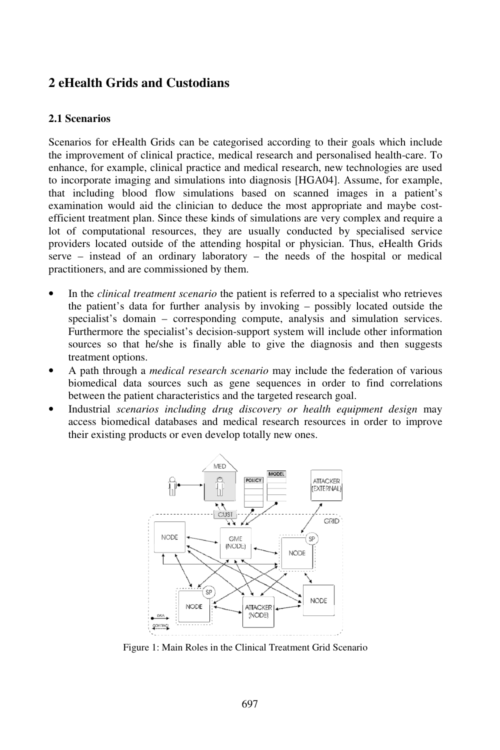# **2 eHealth Grids and Custodians**

#### **2.1 Scenarios**

Scenarios for eHealth Grids can be categorised according to their goals which include the improvement of clinical practice, medical research and personalised health-care. To enhance, for example, clinical practice and medical research, new technologies are used to incorporate imaging and simulations into diagnosis [HGA04]. Assume, for example, that including blood flow simulations based on scanned images in a patient's examination would aid the clinician to deduce the most appropriate and maybe costefficient treatment plan. Since these kinds of simulations are very complex and require a lot of computational resources, they are usually conducted by specialised service providers located outside of the attending hospital or physician. Thus, eHealth Grids serve – instead of an ordinary laboratory – the needs of the hospital or medical practitioners, and are commissioned by them.

- In the *clinical treatment scenario* the patient is referred to a specialist who retrieves the patient's data for further analysis by invoking – possibly located outside the specialist's domain – corresponding compute, analysis and simulation services. Furthermore the specialist's decision-support system will include other information sources so that he/she is finally able to give the diagnosis and then suggests treatment options.
- A path through a *medical research scenario* may include the federation of various biomedical data sources such as gene sequences in order to find correlations between the patient characteristics and the targeted research goal.
- Industrial *scenarios including drug discovery or health equipment design* may access biomedical databases and medical research resources in order to improve their existing products or even develop totally new ones.



Figure 1: Main Roles in the Clinical Treatment Grid Scenario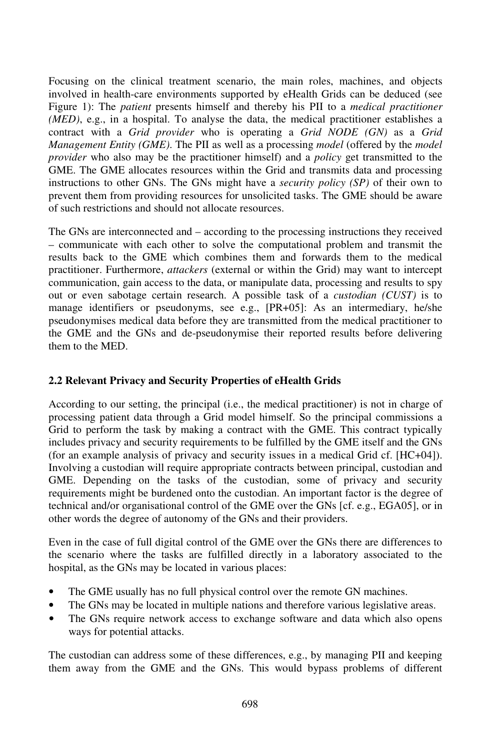Focusing on the clinical treatment scenario, the main roles, machines, and objects involved in health-care environments supported by eHealth Grids can be deduced (see Figure 1): The *patient* presents himself and thereby his PII to a *medical practitioner (MED)*, e.g., in a hospital. To analyse the data, the medical practitioner establishes a contract with a *Grid provider* who is operating a *Grid NODE (GN)* as a *Grid Management Entity (GME)*. The PII as well as a processing *model* (offered by the *model provider* who also may be the practitioner himself) and a *policy* get transmitted to the GME. The GME allocates resources within the Grid and transmits data and processing instructions to other GNs. The GNs might have a *security policy (SP)* of their own to prevent them from providing resources for unsolicited tasks. The GME should be aware of such restrictions and should not allocate resources.

The GNs are interconnected and–according to the processing instructions they received – communicate with each other to solve the computational problem and transmit the results back to the GME which combines them and forwards them to the medical practitioner. Furthermore, *attackers* (external or within the Grid) may want to intercept communication, gain access to the data, or manipulate data, processing and results to spy out or even sabotage certain research. A possible task of a *custodian (CUST)* is to manage identifiers or pseudonyms, see e.g., [PR+05]: As an intermediary, he/she pseudonymises medical data before they are transmitted from the medical practitioner to the GME and the GNs and de-pseudonymise their reported results before delivering them to the MED.

#### **2.2 Relevant Privacy and Security Properties of eHealth Grids**

According to our setting, the principal (i.e., the medical practitioner) is not in charge of processing patient data through a Grid model himself. So the principal commissions a Grid to perform the task by making a contract with the GME. This contract typically includes privacy and security requirements to be fulfilled by the GME itself and the GNs (for an example analysis of privacy and security issues in a medical Grid cf. [HC+04]). Involving a custodian will require appropriate contracts between principal, custodian and GME. Depending on the tasks of the custodian, some of privacy and security requirements might be burdened onto the custodian. An important factor is the degree of technical and/or organisational control of the GME over the GNs [cf. e.g., EGA05], or in other words the degree of autonomy of the GNs and their providers.

Even in the case of full digital control of the GME over the GNs there are differences to the scenario where the tasks are fulfilled directly in a laboratory associated to the hospital, as the GNs may be located in various places:

- The GME usually has no full physical control over the remote GN machines.
- The GNs may be located in multiple nations and therefore various legislative areas.
- The GNs require network access to exchange software and data which also opens ways for potential attacks.

The custodian can address some of these differences, e.g., by managing PII and keeping them away from the GME and the GNs. This would bypass problems of different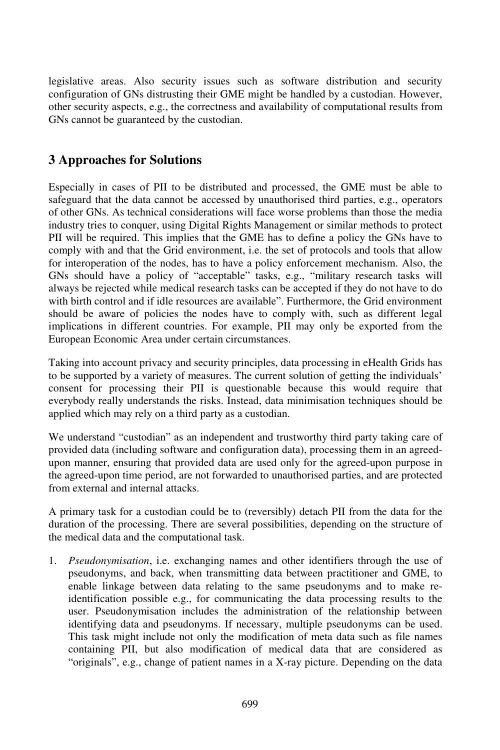legislative areas. Also security issues such as software distribution and security configuration of GNs distrusting their GME might be handled by a custodian. However, other security aspects, e.g., the correctness and availability of computational results from GNs cannot be guaranteed by the custodian.

# **3 Approaches for Solutions**

Especially in cases of PII to be distributed and processed, the GME must be able to safeguard that the data cannot be accessed by unauthorised third parties, e.g., operators of other GNs. As technical considerations will face worse problems than those the media industry tries to conquer, using Digital Rights Management or similar methods to protect PII will be required. This implies that the GME has to define a policy the GNs have to comply with and that the Grid environment, i.e. the set of protocols and tools that allow for interoperation of the nodes, has to have a policy enforcement mechanism. Also, the GNs should have a policy of "acceptable" tasks, e.g., "military research tasks will always be rejected while medical research tasks can be accepted if they do not have to do with birth control and if idle resources are available". Furthermore, the Grid environment should be aware of policies the nodes have to comply with, such as different legal implications in different countries. For example, PII may only be exported from the European Economic Area under certain circumstances.

Taking into account privacy and security principles, data processing in eHealth Grids has to be supported by a variety of measures. The current solution of getting the individuals' consent for processing their PII is questionable because this would require that everybody really understands the risks. Instead, data minimisation techniques should be applied which may rely on a third party as a custodian.

We understand "custodian" as an independent and trustworthy third party taking care of provided data (including software and configuration data), processing them in an agreedupon manner, ensuring that provided data are used only for the agreed-upon purpose in the agreed-upon time period, are not forwarded to unauthorised parties, and are protected from external and internal attacks.

A primary task for a custodian could be to (reversibly) detach PII from the data for the duration of the processing. There are several possibilities, depending on the structure of the medical data and the computational task.

1. *Pseudonymisation*, i.e. exchanging names and other identifiers through the use of pseudonyms, and back, when transmitting data between practitioner and GME, to enable linkage between data relating to the same pseudonyms and to make reidentification possible e.g., for communicating the data processing results to the user. Pseudonymisation includes the administration of the relationship between identifying data and pseudonyms. If necessary, multiple pseudonyms can be used. This task might include not only the modification of meta data such as file names containing PII, but also modification of medical data that are considered as "originals", e.g., change of patient names in a X-ray picture. Depending on the data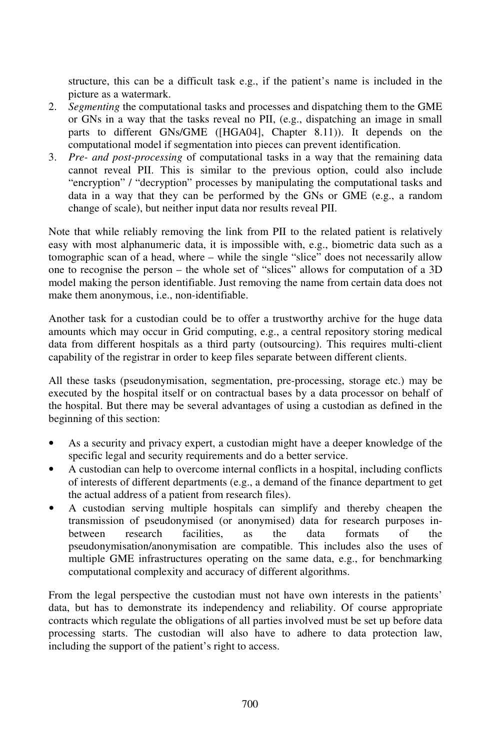structure, this can be a difficult task e.g., if the patient's name is included in the picture as a watermark.

- 2. *Segmenting* the computational tasks and processes and dispatching them to the GME or GNs in a way that the tasks reveal no PII, (e.g., dispatching an image in small parts to different GNs/GME ([HGA04], Chapter 8.11)). It depends on the computational model if segmentation into pieces can prevent identification.
- 3. *Pre- and post-processing* of computational tasks in a way that the remaining data cannot reveal PII. This is similar to the previous option, could also include "encryption" / "decryption" processes by manipulating the computational tasks and data in a way that they can be performed by the GNs or GME (e.g., a random change of scale), but neither input data nor results reveal PII.

Note that while reliably removing the link from PII to the related patient is relatively easy with most alphanumeric data, it is impossible with, e.g., biometric data such as a tomographic scan of a head, where – while the single "slice" does not necessarily allow one to recognise the person – the whole set of "slices" allows for computation of a 3D model making the person identifiable. Just removing the name from certain data does not make them anonymous, i.e., non-identifiable.

Another task for a custodian could be to offer a trustworthy archive for the huge data amounts which may occur in Grid computing, e.g., a central repository storing medical data from different hospitals as a third party (outsourcing). This requires multi-client capability of the registrar in order to keep files separate between different clients.

All these tasks (pseudonymisation, segmentation, pre-processing, storage etc.) may be executed by the hospital itself or on contractual bases by a data processor on behalf of the hospital. But there may be several advantages of using a custodian as defined in the beginning of this section:

- As a security and privacy expert, a custodian might have a deeper knowledge of the specific legal and security requirements and do a better service.
- A custodian can help to overcome internal conflicts in a hospital, including conflicts of interests of different departments (e.g., a demand of the finance department to get the actual address of a patient from research files).
- A custodian serving multiple hospitals can simplify and thereby cheapen the transmission of pseudonymised (or anonymised) data for research purposes inbetween research facilities, as the data formats of the pseudonymisation/anonymisation are compatible. This includes also the uses of multiple GME infrastructures operating on the same data, e.g., for benchmarking computational complexity and accuracy of different algorithms.

From the legal perspective the custodian must not have own interests in the patients' data, but has to demonstrate its independency and reliability. Of course appropriate contracts which regulate the obligations of all parties involved must be set up before data processing starts. The custodian will also have to adhere to data protection law, including the support of the patient's right to access.